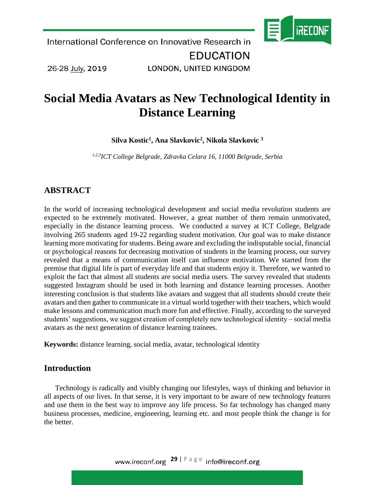

26-28 July, 2019

LONDON, UNITED KINGDOM

# **Social Media Avatars as New Technological Identity in Distance Learning**

**Silva Kostic<sup>1</sup> , Ana Slavkovic<sup>2</sup> , Nikola Slavkovic <sup>3</sup>**

*1,2,3ICT College Belgrade, Zdravka Celara 16, 11000 Belgrade, Serbia* 

## **ABSTRACT**

In the world of increasing technological development and social media revolution students are expected to be extremely motivated. However, a great number of them remain unmotivated, especially in the distance learning process. We conducted a survey at ICT College, Belgrade involving 265 students aged 19-22 regarding student motivation. Our goal was to make distance learning more motivating for students. Being aware and excluding the indisputable social, financial or psychological reasons for decreasing motivation of students in the learning process, our survey revealed that a means of communication itself can influence motivation. We started from the premise that digital life is part of everyday life and that students enjoy it. Therefore, we wanted to exploit the fact that almost all students are social media users. The survey revealed that students suggested Instagram should be used in both learning and distance learning processes. Another interesting conclusion is that students like avatars and suggest that all students should create their avatars and then gather to communicate in a virtual world together with their teachers, which would make lessons and communication much more fun and effective. Finally, according to the surveyed students' suggestions, we suggest creation of completely new technological identity – social media avatars as the next generation of distance learning trainees.

**Keywords:** distance learning, social media, avatar, technological identity

### **Introduction**

Technology is radically and visibly changing our lifestyles, ways of thinking and behavior in all aspects of our lives. In that sense, it is very important to be aware of new technology features and use them in the best way to improve any life process. So far technology has changed many business processes, medicine, engineering, learning etc. and most people think the change is for the better.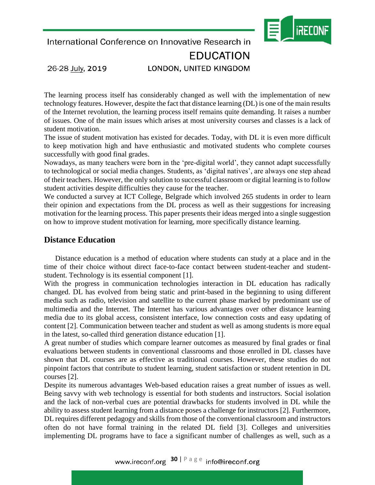

# **EDUCATION**

26-28 July, 2019

LONDON, UNITED KINGDOM

The learning process itself has considerably changed as well with the implementation of new technology features. However, despite the fact that distance learning (DL) is one of the main results of the Internet revolution, the learning process itself remains quite demanding. It raises a number of issues. One of the main issues which arises at most university courses and classes is a lack of student motivation.

The issue of student motivation has existed for decades. Today, with DL it is even more difficult to keep motivation high and have enthusiastic and motivated students who complete courses successfully with good final grades.

Nowadays, as many teachers were born in the 'pre-digital world', they cannot adapt successfully to technological or social media changes. Students, as 'digital natives', are always one step ahead of their teachers. However, the only solution to successful classroom or digital learning is to follow student activities despite difficulties they cause for the teacher.

We conducted a survey at ICT College, Belgrade which involved 265 students in order to learn their opinion and expectations from the DL process as well as their suggestions for increasing motivation for the learning process. This paper presents their ideas merged into a single suggestion on how to improve student motivation for learning, more specifically distance learning.

#### **Distance Education**

Distance education is a method of education where students can study at a place and in the time of their choice without direct face-to-face contact between student-teacher and studentstudent. Technology is its essential component [1].

With the progress in communication technologies interaction in DL education has radically changed. DL has evolved from being static and print-based in the beginning to using different media such as radio, television and satellite to the current phase marked by predominant use of multimedia and the Internet. The Internet has various advantages over other distance learning media due to its global access, consistent interface, low connection costs and easy updating of content [2]. Communication between teacher and student as well as among students is more equal in the latest, so-called third generation distance education [1].

A great number of studies which compare learner outcomes as measured by final grades or final evaluations between students in conventional classrooms and those enrolled in DL classes have shown that DL courses are as effective as traditional courses. However, these studies do not pinpoint factors that contribute to student learning, student satisfaction or student retention in DL courses [2].

Despite its numerous advantages Web-based education raises a great number of issues as well. Being savvy with web technology is essential for both students and instructors. Social isolation and the lack of non-verbal cues are potential drawbacks for students involved in DL while the ability to assess student learning from a distance poses a challenge for instructors [2]. Furthermore, DL requires different pedagogy and skills from those of the conventional classroom and instructors often do not have formal training in the related DL field [3]. Colleges and universities implementing DL programs have to face a significant number of challenges as well, such as a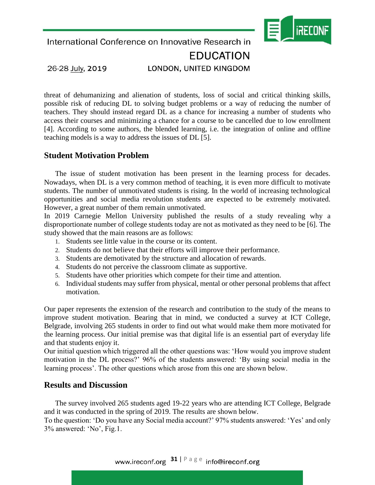

# **EDUCATION**

26-28 July, 2019

LONDON, UNITED KINGDOM

threat of dehumanizing and alienation of students, loss of social and critical thinking skills, possible risk of reducing DL to solving budget problems or a way of reducing the number of teachers. They should instead regard DL as a chance for increasing a number of students who access their courses and minimizing a chance for a course to be cancelled due to low enrollment [4]. According to some authors, the blended learning, i.e. the integration of online and offline teaching models is a way to address the issues of DL [5].

## **Student Motivation Problem**

The issue of student motivation has been present in the learning process for decades. Nowadays, when DL is a very common method of teaching, it is even more difficult to motivate students. The number of unmotivated students is rising. In the world of increasing technological opportunities and social media revolution students are expected to be extremely motivated. However, a great number of them remain unmotivated.

In 2019 Carnegie Mellon University published the [results](http://www.cmu.edu/teaching/solveproblem/strat-lackmotivation/lackmotivation-01.html) of a study revealing why a disproportionate number of college students today are not as motivated as they need to be [6]. The study showed that the main reasons are as follows:

- 1. Students [see](http://www.cmu.edu/teaching/solveproblem/strat-lackmotivation/lackmotivation-01.html) little value in the course or its content.
- 2. Students do not [believe](http://www.cmu.edu/teaching/solveproblem/strat-lackmotivation/lackmotivation-02.html) that their efforts will improve their performance.
- 3. Students are [demotivated](http://www.cmu.edu/teaching/solveproblem/strat-lackmotivation/lackmotivation-03.html) by the structure and allocation of rewards.
- 4. Students do not [perceive](http://www.cmu.edu/teaching/solveproblem/strat-lackmotivation/lackmotivation-04.html) the classroom climate as supportive.
- 5. Students [have](http://www.cmu.edu/teaching/solveproblem/strat-lackmotivation/lackmotivation-05.html) other priorities which compete for their time and [attention.](https://www.psychologytoday.com/intl/basics/attention)
- 6. Individual students may [suffer](http://www.cmu.edu/teaching/solveproblem/strat-lackmotivation/lackmotivation-06.html) from physical, mental or other personal problems that affect motivation.

Our paper represents the extension of the research and contribution to the study of the means to improve student motivation. Bearing that in mind, we conducted a survey at ICT College, Belgrade, involving 265 students in order to find out what would make them more motivated for the learning process. Our initial premise was that digital life is an essential part of everyday life and that students enjoy it.

Our initial question which triggered all the other questions was: 'How would you improve student motivation in the DL process?' 96% of the students answered: 'By using social media in the learning process'. The other questions which arose from this one are shown below.

#### **Results and Discussion**

The survey involved 265 students aged 19-22 years who are attending ICT College, Belgrade and it was conducted in the spring of 2019. The results are shown below.

To the question: 'Do you have any Social media account?' 97% students answered: 'Yes' and only 3% answered: 'No', Fig.1.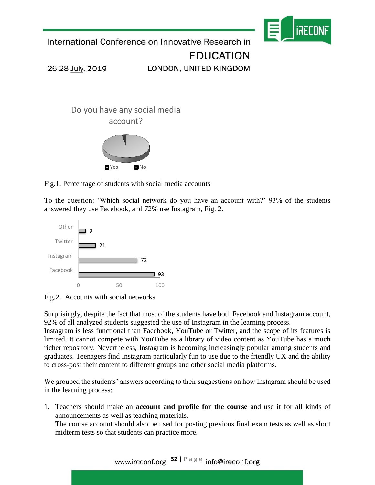

**EDUCATION** 

26-28 July, 2019

LONDON, UNITED KINGDOM



Fig.1. Percentage of students with social media accounts

To the question: 'Which social network do you have an account with?' 93% of the students answered they use Facebook, and 72% use Instagram, Fig. 2.





Surprisingly, despite the fact that most of the students have both Facebook and Instagram account, 92% of all analyzed students suggested the use of Instagram in the learning process.

Instagram is less functional than Facebook, YouTube or Twitter, and the scope of its features is limited. It cannot compete with YouTube as a library of video content as YouTube has a much richer repository. Nevertheless, Instagram is becoming [increasingly popular](http://www.pewinternet.org/fact-sheet/social-media/?utm_campaign=elearningindustry.com&utm_source=%2Finstagram-can-%25d1%2581ontribute-to-elearning-2019&utm_medium=link) among students and graduates. Teenagers find Instagram particularly fun to use due to the friendly UX and the ability to cross-post their content to different groups and other social media platforms.

We grouped the students' answers according to their suggestions on how Instagram should be used in the learning process:

1. Teachers should make an **account and profile for the course** and use it for all kinds of announcements as well as teaching materials. The course account should also be used for posting previous final exam tests as well as short

midterm tests so that students can practice more.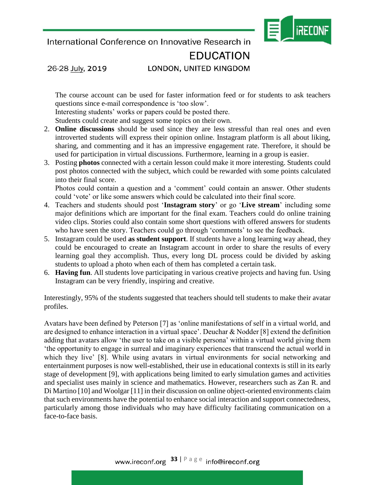lireconi

International Conference on Innovative Research in

# **EDUCATION**

26-28 July, 2019

### LONDON, UNITED KINGDOM

The course account can be used for faster information feed or for students to ask teachers questions since e-mail correspondence is 'too slow'.

Interesting students' works or papers could be posted there.

Students could create and suggest some topics on their own.

- 2. **Online discussions** should be used since they are less stressful than real ones and even introverted students will express their opinion online. Instagram platform is all about liking, sharing, and commenting and it has an impressive engagement rate. Therefore, it should be used for participation in virtual discussions. Furthermore, learning in a group is easier.
- 3. Posting **photos** connected with a certain lesson could make it more interesting. Students could post photos connected with the subject, which could be rewarded with some points calculated into their final score.

Photos could contain a question and a 'comment' could contain an answer. Other students could 'vote' or like some answers which could be calculated into their final score.

- 4. Teachers and students should post '**Instagram story**' or go '**Live stream**' including some major definitions which are important for the final exam. Teachers could do online training video clips. Stories could also contain some short questions with offered answers for students who have seen the story. Teachers could go through 'comments' to see the feedback.
- 5. Instagram could be used **as student support**. If students have a long learning way ahead, they could be encouraged to create an Instagram account in order to share the results of every learning goal they accomplish. Thus, every long DL process could be divided by asking students to upload a photo when each of them has completed a certain task.
- 6. **Having fun**. All students love participating in various creative projects and having fun. Using Instagram can be very friendly, inspiring and creative.

Interestingly, 95% of the students suggested that teachers should tell students to make their avatar profiles.

Avatars have been defined by Peterson [7] as 'online manifestations of self in a virtual world, and are designed to enhance interaction in a virtual space'. Deuchar & Nodder [8] extend the definition adding that avatars allow 'the user to take on a visible persona' within a virtual world giving them 'the opportunity to engage in surreal and imaginary experiences that transcend the actual world in which they live' [8]. While using avatars in virtual environments for social networking and entertainment purposes is now well-established, their use in educational contexts is still in its early stage of development [9], with applications being limited to early simulation games and activities and specialist uses mainly in science and mathematics. However, researchers such as Zan R. and Di Martino [10] and Woolgar [11] in their discussion on online object-oriented environments claim that such environments have the potential to enhance social interaction and support connectedness, particularly among those individuals who may have difficulty facilitating communication on a face-to-face basis.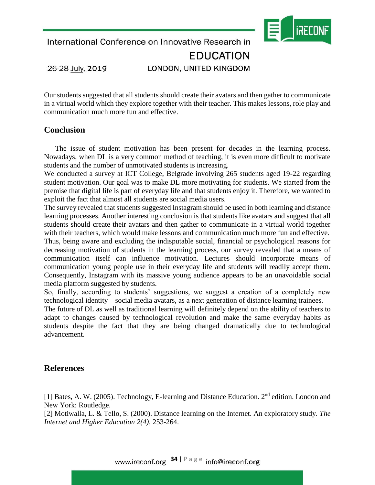

International Conference on Innovative Research in **EDUCATION** 26-28 July, 2019 LONDON, UNITED KINGDOM

Our students suggested that all students should create their avatars and then gather to communicate in a virtual world which they explore together with their teacher. This makes lessons, role play and communication much more fun and effective.

#### **Conclusion**

The issue of student motivation has been present for decades in the learning process. Nowadays, when DL is a very common method of teaching, it is even more difficult to motivate students and the number of unmotivated students is increasing.

We conducted a survey at ICT College, Belgrade involving 265 students aged 19-22 regarding student motivation. Our goal was to make DL more motivating for students. We started from the premise that digital life is part of everyday life and that students enjoy it. Therefore, we wanted to exploit the fact that almost all students are social media users.

The survey revealed that students suggested Instagram should be used in both learning and distance learning processes. Another interesting conclusion is that students like avatars and suggest that all students should create their avatars and then gather to communicate in a virtual world together with their teachers, which would make lessons and communication much more fun and effective. Thus, being aware and excluding the indisputable social, financial or psychological reasons for

decreasing motivation of students in the learning process, our survey revealed that a means of communication itself can influence motivation. Lectures should incorporate means of communication young people use in their everyday life and students will readily accept them. Consequently, Instagram with its massive young audience appears to be an unavoidable social media platform suggested by students.

So, finally, according to students' suggestions, we suggest a creation of a completely new technological identity – social media avatars, as a next generation of distance learning trainees.

The future of DL as well as traditional learning will definitely depend on the ability of teachers to adapt to changes caused by technological revolution and make the same everyday habits as students despite the fact that they are being changed dramatically due to technological advancement.

### **References**

[1] Bates, A. W. (2005). Technology, E-learning and Distance Education. 2<sup>nd</sup> edition. London and New York: Routledge.

[2] Motiwalla, L. & Tello, S. (2000). Distance learning on the Internet. An exploratory study. *The Internet and Higher Education 2(4),* 253-264.